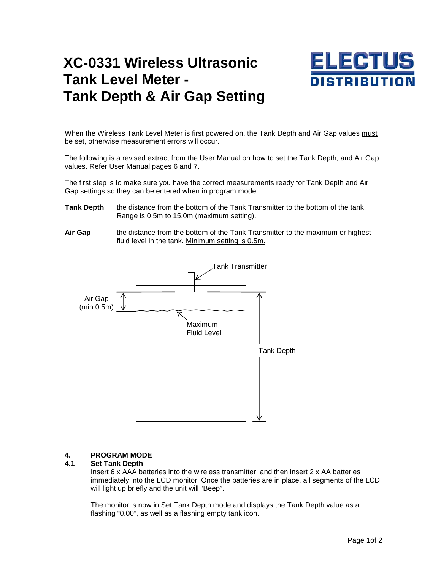# **XC-0331 Wireless Ultrasonic Tank Level Meter - Tank Depth & Air Gap Setting**



When the Wireless Tank Level Meter is first powered on, the Tank Depth and Air Gap values must be set, otherwise measurement errors will occur.

The following is a revised extract from the User Manual on how to set the Tank Depth, and Air Gap values. Refer User Manual pages 6 and 7.

The first step is to make sure you have the correct measurements ready for Tank Depth and Air Gap settings so they can be entered when in program mode.

- **Tank Depth** the distance from the bottom of the Tank Transmitter to the bottom of the tank. Range is 0.5m to 15.0m (maximum setting).
- **Air Gap** the distance from the bottom of the Tank Transmitter to the maximum or highest fluid level in the tank. Minimum setting is 0.5m.



## **4. PROGRAM MODE**

### **4.1 Set Tank Depth**

Insert 6 x AAA batteries into the wireless transmitter, and then insert  $2 \times$  AA batteries immediately into the LCD monitor. Once the batteries are in place, all segments of the LCD will light up briefly and the unit will "Beep".

 The monitor is now in Set Tank Depth mode and displays the Tank Depth value as a flashing "0.00", as well as a flashing empty tank icon.